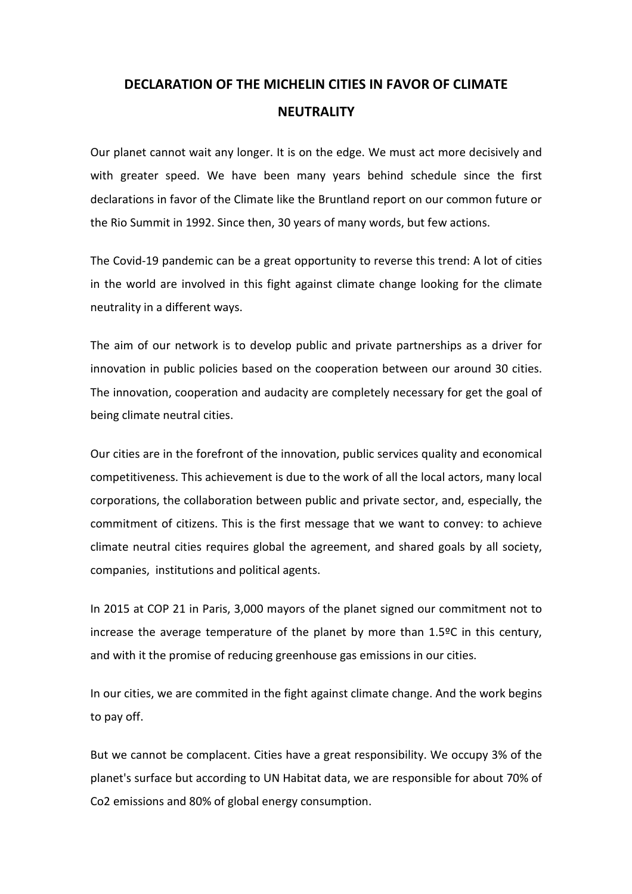## **DECLARATION OF THE MICHELIN CITIES IN FAVOR OF CLIMATE NEUTRALITY**

Our planet cannot wait any longer. It is on the edge. We must act more decisively and with greater speed. We have been many years behind schedule since the first declarations in favor of the Climate like the Bruntland report on our common future or the Rio Summit in 1992. Since then, 30 years of many words, but few actions.

The Covid-19 pandemic can be a great opportunity to reverse this trend: A lot of cities in the world are involved in this fight against climate change looking for the climate neutrality in a different ways.

The aim of our network is to develop public and private partnerships as a driver for innovation in public policies based on the cooperation between our around 30 cities. The innovation, cooperation and audacity are completely necessary for get the goal of being climate neutral cities.

Our cities are in the forefront of the innovation, public services quality and economical competitiveness. This achievement is due to the work of all the local actors, many local corporations, the collaboration between public and private sector, and, especially, the commitment of citizens. This is the first message that we want to convey: to achieve climate neutral cities requires global the agreement, and shared goals by all society, companies, institutions and political agents.

In 2015 at COP 21 in Paris, 3,000 mayors of the planet signed our commitment not to increase the average temperature of the planet by more than 1.5ºC in this century, and with it the promise of reducing greenhouse gas emissions in our cities.

In our cities, we are commited in the fight against climate change. And the work begins to pay off.

But we cannot be complacent. Cities have a great responsibility. We occupy 3% of the planet's surface but according to UN Habitat data, we are responsible for about 70% of Co2 emissions and 80% of global energy consumption.